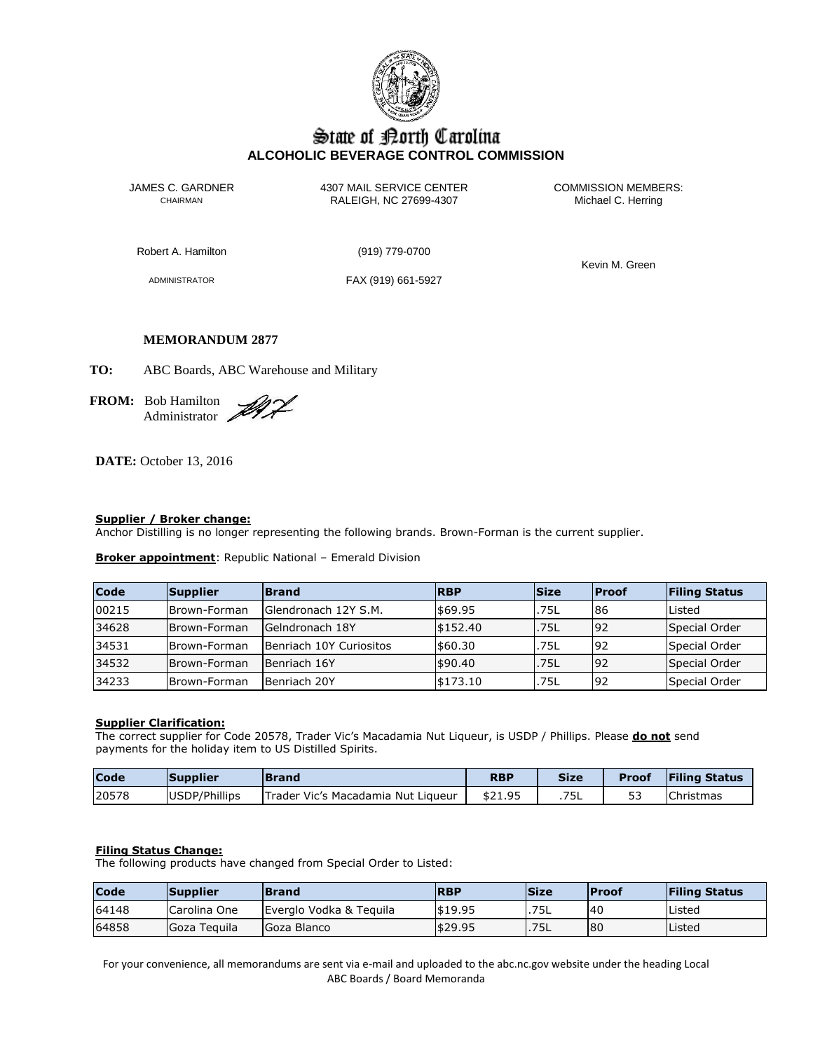

# State of Borth Carolina **ALCOHOLIC BEVERAGE CONTROL COMMISSION**

JAMES C. GARDNER 4307 MAIL SERVICE CENTER<br>CHAIRMAN CHAIRMAN RALEIGH, NC 27699-4307 Michael C. Herring CHAIRMAN RALEIGH, NC 27699-4307

Robert A. Hamilton (919) 779-0700

ADMINISTRATOR FAX (919) 661-5927

Kevin M. Green

# **MEMORANDUM 2877**

**TO:** ABC Boards, ABC Warehouse and Military

**FROM:** Bob Hamilton Administrator

**DATE:** October 13, 2016

## **Supplier / Broker change:**

Anchor Distilling is no longer representing the following brands. Brown-Forman is the current supplier.

**Broker appointment**: Republic National – Emerald Division

| <b>Code</b> | Supplier      | <b>Brand</b>            | <b>RBP</b> | <b>Size</b> | <b>Proof</b> | <b>Filing Status</b> |
|-------------|---------------|-------------------------|------------|-------------|--------------|----------------------|
| 00215       | Brown-Forman  | Glendronach 12Y S.M.    | \$69.95    | .75L        | 86           | Listed               |
| 34628       | Brown-Forman  | Gelndronach 18Y         | \$152.40   | .75L        | 92           | Special Order        |
| 34531       | IBrown-Forman | Benriach 10Y Curiositos | \$60.30    | .75L        | 92           | Special Order        |
| 34532       | Brown-Forman  | Benriach 16Y            | \$90.40    | .75L        | 92           | Special Order        |
| 34233       | Brown-Forman  | Benriach 20Y            | \$173.10   | .75L        | 92           | Special Order        |

## **Supplier Clarification:**

The correct supplier for Code 20578, Trader Vic's Macadamia Nut Liqueur, is USDP / Phillips. Please **do not** send payments for the holiday item to US Distilled Spirits.

| <b>Code</b> | <b>Supplier</b> | <b>IBrand</b>                      | <b>RBP</b> | Size | <b>Proof</b> | <b>Filing Status</b> |
|-------------|-----------------|------------------------------------|------------|------|--------------|----------------------|
| 20578       | USDP/Phillips   | Trader Vic's Macadamia Nut Liqueur | \$21.95    | .75L | <u>.</u>     | <b>Christmas</b>     |

## **Filing Status Change:**

The following products have changed from Special Order to Listed:

| Code  | Supplier     | <b>Brand</b>            | <b>RBP</b> | <b>Size</b> | <b>Proof</b> | <b>Filing Status</b> |
|-------|--------------|-------------------------|------------|-------------|--------------|----------------------|
| 64148 | Carolina One | Everglo Vodka & Teguila | \$19.95    | .75L        | 40           | Listed               |
| 64858 | Goza Teguila | Goza Blanco             | \$29.95    | .75L        | 80           | Listed               |

For your convenience, all memorandums are sent via e-mail and uploaded to the abc.nc.gov website under the heading Local ABC Boards / Board Memoranda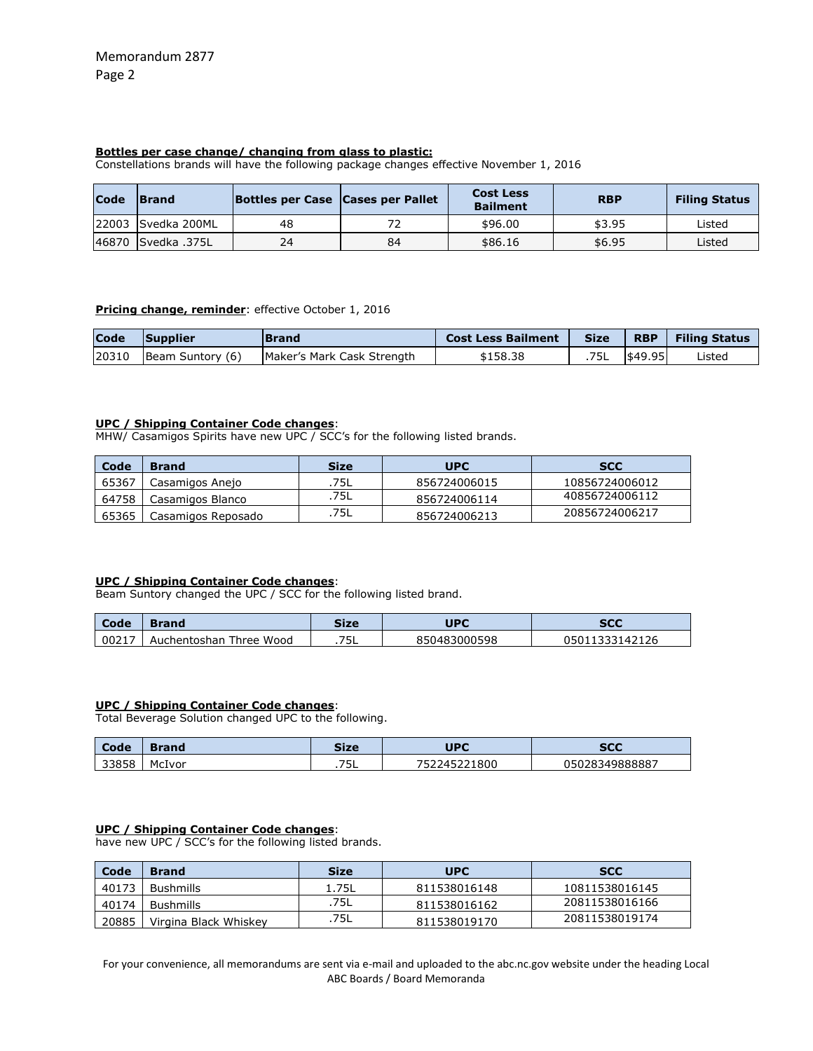# **Bottles per case change/ changing from glass to plastic:**

Constellations brands will have the following package changes effective November 1, 2016

| <b>Code</b> | <b>Brand</b>       | Bottles per Case Cases per Pallet |    | <b>Cost Less</b><br><b>Bailment</b> | <b>RBP</b> | <b>Filing Status</b> |
|-------------|--------------------|-----------------------------------|----|-------------------------------------|------------|----------------------|
|             | 22003 Svedka 200ML | 48                                |    | \$96.00                             | \$3.95     | Listed               |
|             | 146870 Svedka 375L | 24                                | 84 | \$86.16                             | \$6.95     | Listed               |

## **Pricing change, reminder**: effective October 1, 2016

| <b>Code</b> | <b>Supplier</b>  | <b>IBrand</b>              | <b>Cost Less Bailment</b> | <b>Size</b> | <b>RBP</b> | <b>Filing Status</b> |
|-------------|------------------|----------------------------|---------------------------|-------------|------------|----------------------|
| 20310       | Beam Suntory (6) | Maker's Mark Cask Strength | \$158.38                  | .75L        | \$49.95    | Listed               |

## **UPC / Shipping Container Code changes**:

MHW/ Casamigos Spirits have new UPC / SCC's for the following listed brands.

| Code  | <b>Brand</b>       | Size | <b>UPC</b>   | <b>SCC</b>     |
|-------|--------------------|------|--------------|----------------|
| 65367 | Casamigos Anejo    | .75L | 856724006015 | 10856724006012 |
| 64758 | Casamigos Blanco   | .75L | 856724006114 | 40856724006112 |
| 65365 | Casamigos Reposado | .75L | 856724006213 | 20856724006217 |

## **UPC / Shipping Container Code changes**:

Beam Suntory changed the UPC / SCC for the following listed brand.

| Code  | Brand                        | Size               | UPC              | <b>SCC</b> |
|-------|------------------------------|--------------------|------------------|------------|
| 00217 | Wood<br>Auchentoshan<br>hree | ᄁᄃ<br>. <i>. .</i> | 3000598<br>85048 | 42126      |

## **UPC / Shipping Container Code changes**:

Total Beverage Solution changed UPC to the following.

| Code  | <b>Brand</b> | Size        | UPC       | <b>SCC</b>     |
|-------|--------------|-------------|-----------|----------------|
| 33858 | McIvor       | ヮ⊏<br>ـار . | 245221800 | 05028349888887 |

## **UPC / Shipping Container Code changes**:

have new UPC / SCC's for the following listed brands.

| Code  | <b>Brand</b>          | <b>Size</b> | <b>UPC</b>   | <b>SCC</b>     |
|-------|-----------------------|-------------|--------------|----------------|
| 40173 | Bushmills             | 1.75L       | 811538016148 | 10811538016145 |
| 40174 | <b>Bushmills</b>      | .75L        | 811538016162 | 20811538016166 |
| 20885 | Virgina Black Whiskey | -75L        | 811538019170 | 20811538019174 |

For your convenience, all memorandums are sent via e-mail and uploaded to the abc.nc.gov website under the heading Local ABC Boards / Board Memoranda